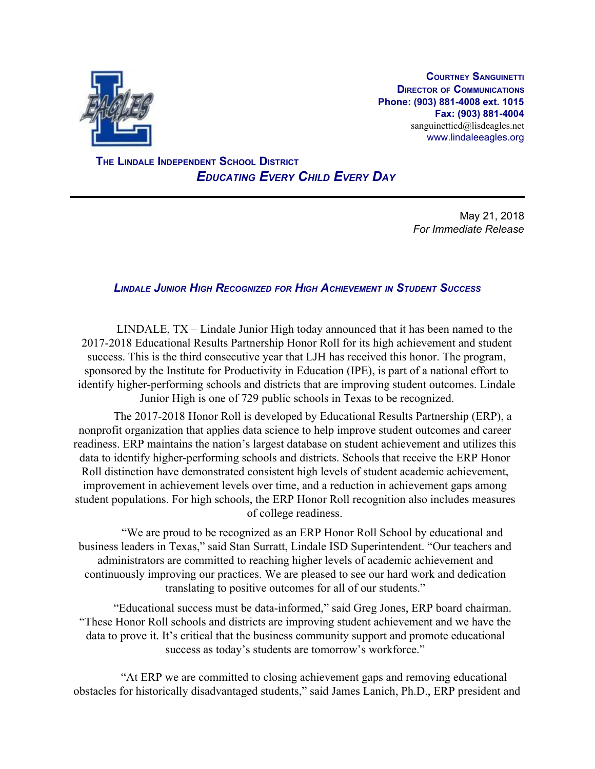

**COURTNEY SANGUINETTI DIRECTOR OF COMMUNICATIONS Phone: (903) 881-4008 ext. 1015 Fax: (903) 881-4004** sanguinetticd@lisdeagles.net www.lindaleeagles.org

 **THE LINDALE INDEPENDENT SCHOOL DISTRICT** *EDUCATING EVERY CHILD EVERY DAY*

> May 21, 2018 *For Immediate Release*

## *LINDALE JUNIOR HIGH RECOGNIZED FOR HIGH ACHIEVEMENT IN STUDENT SUCCESS*

LINDALE, TX – Lindale Junior High today announced that it has been named to the 2017-2018 Educational Results Partnership Honor Roll for its high achievement and student success. This is the third consecutive year that LJH has received this honor. The program, sponsored by the Institute for Productivity in Education (IPE), is part of a national effort to identify higher-performing schools and districts that are improving student outcomes. Lindale Junior High is one of 729 public schools in Texas to be recognized.

The 2017-2018 Honor Roll is developed by Educational Results Partnership (ERP), a nonprofit organization that applies data science to help improve student outcomes and career readiness. ERP maintains the nation's largest database on student achievement and utilizes this data to identify higher-performing schools and districts. Schools that receive the ERP Honor Roll distinction have demonstrated consistent high levels of student academic achievement, improvement in achievement levels over time, and a reduction in achievement gaps among student populations. For high schools, the ERP Honor Roll recognition also includes measures of college readiness.

"We are proud to be recognized as an ERP Honor Roll School by educational and business leaders in Texas," said Stan Surratt, Lindale ISD Superintendent. "Our teachers and administrators are committed to reaching higher levels of academic achievement and continuously improving our practices. We are pleased to see our hard work and dedication translating to positive outcomes for all of our students."

"Educational success must be data-informed," said Greg Jones, ERP board chairman. "These Honor Roll schools and districts are improving student achievement and we have the data to prove it. It's critical that the business community support and promote educational success as today's students are tomorrow's workforce."

"At ERP we are committed to closing achievement gaps and removing educational obstacles for historically disadvantaged students," said James Lanich, Ph.D., ERP president and